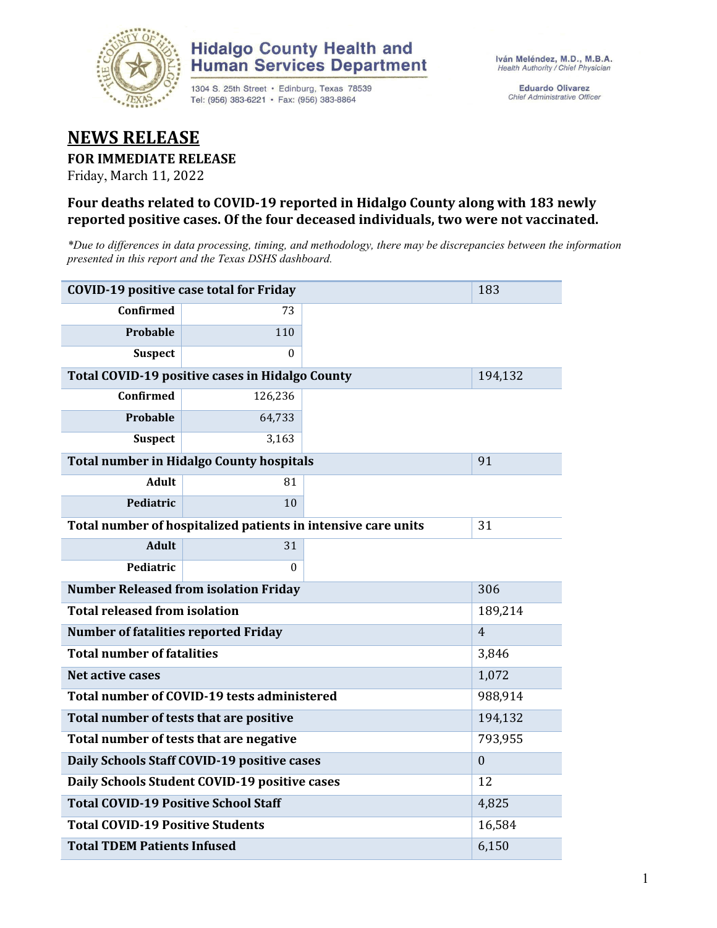

### **Hidalgo County Health and Human Services Department**

1304 S. 25th Street · Edinburg, Texas 78539 Tel: (956) 383-6221 · Fax: (956) 383-8864

**Eduardo Olivarez** Chief Administrative Officer

### **NEWS RELEASE**

#### **FOR IMMEDIATE RELEASE**

Friday, March 11, 2022

#### **Four deaths related to COVID-19 reported in Hidalgo County along with 183 newly reported positive cases. Of the four deceased individuals, two were not vaccinated.**

*\*Due to differences in data processing, timing, and methodology, there may be discrepancies between the information presented in this report and the Texas DSHS dashboard.*

| <b>COVID-19 positive case total for Friday</b> | 183                                                           |    |         |
|------------------------------------------------|---------------------------------------------------------------|----|---------|
| <b>Confirmed</b>                               | 73                                                            |    |         |
| <b>Probable</b>                                | 110                                                           |    |         |
| <b>Suspect</b>                                 | 0                                                             |    |         |
|                                                | Total COVID-19 positive cases in Hidalgo County               |    | 194,132 |
| <b>Confirmed</b>                               | 126,236                                                       |    |         |
| <b>Probable</b>                                | 64,733                                                        |    |         |
| <b>Suspect</b>                                 | 3,163                                                         |    |         |
|                                                | <b>Total number in Hidalgo County hospitals</b>               |    | 91      |
| <b>Adult</b>                                   | 81                                                            |    |         |
| Pediatric                                      | 10                                                            |    |         |
|                                                | Total number of hospitalized patients in intensive care units | 31 |         |
| <b>Adult</b>                                   | 31                                                            |    |         |
| Pediatric                                      | 0                                                             |    |         |
| <b>Number Released from isolation Friday</b>   | 306                                                           |    |         |
| <b>Total released from isolation</b>           | 189,214                                                       |    |         |
| <b>Number of fatalities reported Friday</b>    | $\overline{4}$                                                |    |         |
| <b>Total number of fatalities</b>              | 3,846                                                         |    |         |
| Net active cases                               | 1,072                                                         |    |         |
| Total number of COVID-19 tests administered    | 988,914                                                       |    |         |
| Total number of tests that are positive        | 194,132                                                       |    |         |
| Total number of tests that are negative        | 793,955                                                       |    |         |
| Daily Schools Staff COVID-19 positive cases    | $\mathbf{0}$                                                  |    |         |
| Daily Schools Student COVID-19 positive cases  | 12                                                            |    |         |
| <b>Total COVID-19 Positive School Staff</b>    | 4,825                                                         |    |         |
| <b>Total COVID-19 Positive Students</b>        | 16,584                                                        |    |         |
| <b>Total TDEM Patients Infused</b>             | 6,150                                                         |    |         |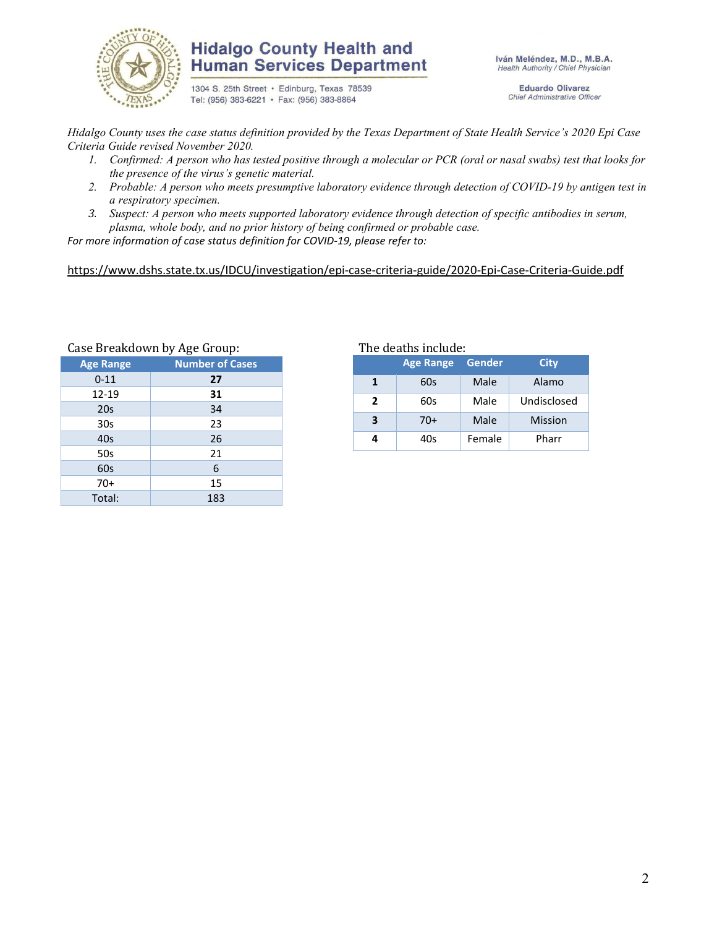

#### **Hidalgo County Health and Human Services Department**

1304 S. 25th Street · Edinburg, Texas 78539 Tel: (956) 383-6221 · Fax: (956) 383-8864

Iván Meléndez, M.D., M.B.A. Health Authority / Chief Physician

> **Eduardo Olivarez** Chief Administrative Officer

*Hidalgo County uses the case status definition provided by the Texas Department of State Health Service's 2020 Epi Case Criteria Guide revised November 2020.*

- *1. Confirmed: A person who has tested positive through a molecular or PCR (oral or nasal swabs) test that looks for the presence of the virus's genetic material.*
- *2. Probable: A person who meets presumptive laboratory evidence through detection of COVID-19 by antigen test in a respiratory specimen.*
- *3. Suspect: A person who meets supported laboratory evidence through detection of specific antibodies in serum, plasma, whole body, and no prior history of being confirmed or probable case.*

*For more information of case status definition for COVID-19, please refer to:*

<https://www.dshs.state.tx.us/IDCU/investigation/epi-case-criteria-guide/2020-Epi-Case-Criteria-Guide.pdf>

| Case Breakdown by Age Group: |                        |  |  |  |  |  |
|------------------------------|------------------------|--|--|--|--|--|
| <b>Age Range</b>             | <b>Number of Cases</b> |  |  |  |  |  |
| $0 - 11$                     | 27                     |  |  |  |  |  |
| 12-19                        | 31                     |  |  |  |  |  |
| 20s                          | 34                     |  |  |  |  |  |
| 30s                          | 23                     |  |  |  |  |  |
| 40s                          | 26                     |  |  |  |  |  |
| 50s                          | 21                     |  |  |  |  |  |
| 60s                          | 6                      |  |  |  |  |  |
| $70+$                        | 15                     |  |  |  |  |  |
| Total:                       | 183                    |  |  |  |  |  |
|                              |                        |  |  |  |  |  |

Breakdown by Age Group: The deaths include:

| <b>Age Range</b> |       | <b>Gender</b> | City           |  |
|------------------|-------|---------------|----------------|--|
|                  | 60s   | Male          | Alamo          |  |
| 2                | 60s   | Male          | Undisclosed    |  |
| 3                | $70+$ | Male          | <b>Mission</b> |  |
|                  | 40s   | Female        | Pharr          |  |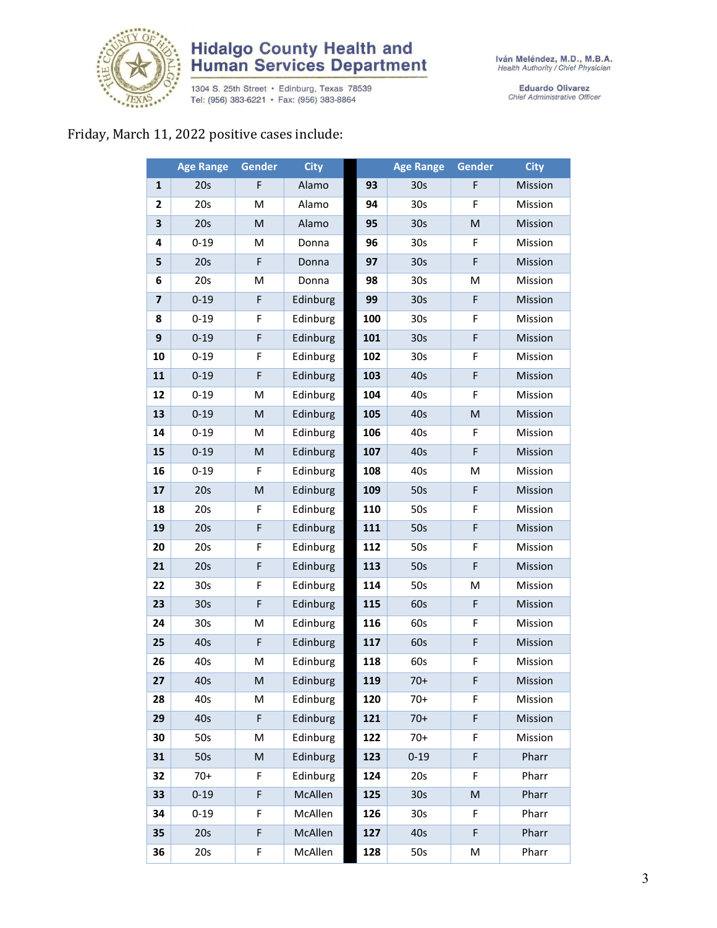

# **Hidalgo County Health and<br>Human Services Department**

1304 S. 25th Street • Edinburg, Texas 78539<br>Tel: (956) 383-6221 • Fax: (956) 383-8864

Iván Meléndez, M.D., M.B.A.<br>Health Authority / Chief Physician

Eduardo Olivarez<br>Chief Administrative Officer

### Friday, March 11, 2022 positive cases include:

|                         | <b>Age Range</b> | Gender | <b>City</b> |     | <b>Age Range</b> | <b>Gender</b>                                                                                              | <b>City</b> |
|-------------------------|------------------|--------|-------------|-----|------------------|------------------------------------------------------------------------------------------------------------|-------------|
| $\mathbf{1}$            | 20s              | F      | Alamo       | 93  | 30 <sub>s</sub>  | F                                                                                                          | Mission     |
| $\mathbf{2}$            | 20s              | M      | Alamo       | 94  | 30s              | F                                                                                                          | Mission     |
| 3                       | 20s              | M      | Alamo       | 95  | 30 <sub>s</sub>  | ${\sf M}$                                                                                                  | Mission     |
| 4                       | $0 - 19$         | M      | Donna       | 96  | 30 <sub>s</sub>  | F                                                                                                          | Mission     |
| 5                       | 20s              | F      | Donna       | 97  | 30 <sub>s</sub>  | F                                                                                                          | Mission     |
| 6                       | 20s              | M      | Donna       | 98  | 30 <sub>s</sub>  | M                                                                                                          | Mission     |
| $\overline{\mathbf{z}}$ | $0 - 19$         | F      | Edinburg    | 99  | 30 <sub>s</sub>  | $\mathsf F$                                                                                                | Mission     |
| 8                       | $0 - 19$         | F      | Edinburg    | 100 | 30 <sub>s</sub>  | F                                                                                                          | Mission     |
| 9                       | $0 - 19$         | F      | Edinburg    | 101 | 30 <sub>s</sub>  | F                                                                                                          | Mission     |
| 10                      | $0 - 19$         | F      | Edinburg    | 102 | 30 <sub>s</sub>  | F                                                                                                          | Mission     |
| 11                      | $0 - 19$         | F      | Edinburg    | 103 | 40s              | F                                                                                                          | Mission     |
| 12                      | $0 - 19$         | M      | Edinburg    | 104 | 40s              | F                                                                                                          | Mission     |
| 13                      | $0 - 19$         | M      | Edinburg    | 105 | 40s              | $\mathsf{M}% _{T}=\mathsf{M}_{T}\!\left( a,b\right) ,\ \mathsf{M}_{T}=\mathsf{M}_{T}\!\left( a,b\right) ,$ | Mission     |
| 14                      | $0 - 19$         | M      | Edinburg    | 106 | 40s              | F                                                                                                          | Mission     |
| 15                      | $0 - 19$         | M      | Edinburg    | 107 | 40s              | F                                                                                                          | Mission     |
| 16                      | $0 - 19$         | F      | Edinburg    | 108 | 40s              | M                                                                                                          | Mission     |
| 17                      | 20s              | M      | Edinburg    | 109 | 50s              | F                                                                                                          | Mission     |
| 18                      | 20s              | F      | Edinburg    | 110 | 50s              | F                                                                                                          | Mission     |
| 19                      | 20s              | F      | Edinburg    | 111 | 50s              | F                                                                                                          | Mission     |
| 20                      | 20s              | F      | Edinburg    | 112 | 50s              | F                                                                                                          | Mission     |
| 21                      | 20s              | F      | Edinburg    | 113 | 50s              | F                                                                                                          | Mission     |
| 22                      | 30s              | F      | Edinburg    | 114 | 50s              | M                                                                                                          | Mission     |
| 23                      | 30 <sub>s</sub>  | F      | Edinburg    | 115 | 60s              | $\mathsf F$                                                                                                | Mission     |
| 24                      | 30 <sub>s</sub>  | Μ      | Edinburg    | 116 | 60s              | F                                                                                                          | Mission     |
| 25                      | 40s              | F      | Edinburg    | 117 | 60s              | F                                                                                                          | Mission     |
| 26                      | 40s              | M      | Edinburg    | 118 | 60s              | F                                                                                                          | Mission     |
| 27                      | 40s              | M      | Edinburg    | 119 | $70+$            | F                                                                                                          | Mission     |
| 28                      | 40s              | М      | Edinburg    | 120 | $70+$            | F                                                                                                          | Mission     |
| 29                      | 40s              | F      | Edinburg    | 121 | $70+$            | F                                                                                                          | Mission     |
| 30                      | 50s              | M      | Edinburg    | 122 | $70+$            | F                                                                                                          | Mission     |
| 31                      | 50s              | M      | Edinburg    | 123 | $0 - 19$         | F                                                                                                          | Pharr       |
| 32                      | $70+$            | F      | Edinburg    | 124 | 20s              | F                                                                                                          | Pharr       |
| 33                      | $0 - 19$         | F      | McAllen     | 125 | 30 <sub>s</sub>  | M                                                                                                          | Pharr       |
| 34                      | $0 - 19$         | F      | McAllen     | 126 | 30 <sub>s</sub>  | F                                                                                                          | Pharr       |
| 35                      | 20s              | F      | McAllen     | 127 | 40s              | F                                                                                                          | Pharr       |
| 36                      | 20s              | F      | McAllen     | 128 | 50s              | М                                                                                                          | Pharr       |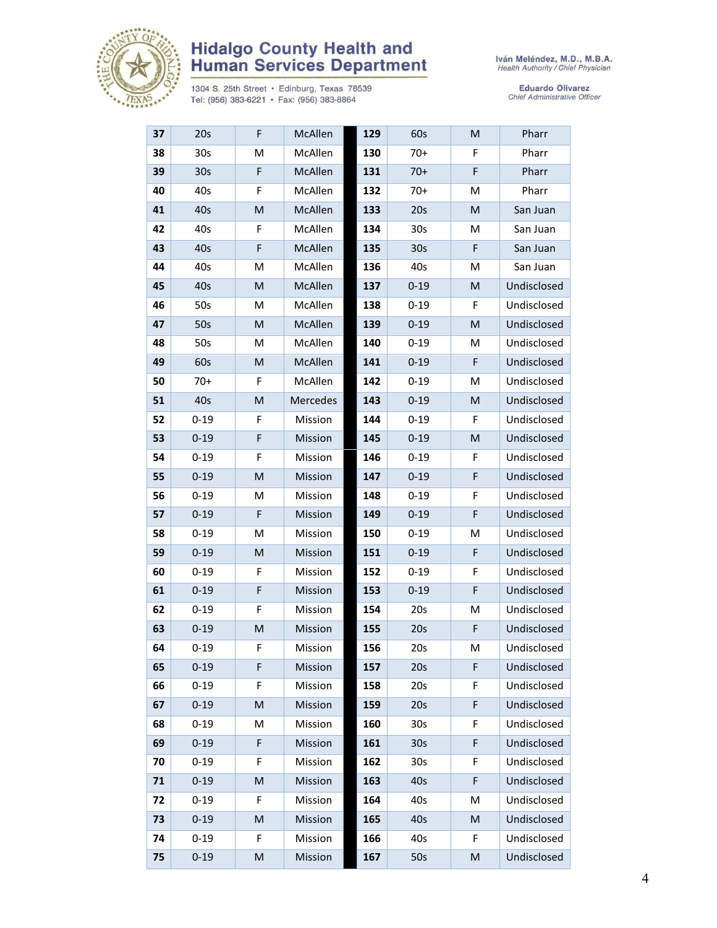

# **Hidalgo County Health and<br>Human Services Department**

1304 S. 25th Street • Edinburg, Texas 78539<br>Tel: (956) 383-6221 • Fax: (956) 383-8864

Eduardo Olivarez<br>Chief Administrative Officer

| 37 | 20s             | F | McAllen  | 129 | 60s             | M | Pharr       |
|----|-----------------|---|----------|-----|-----------------|---|-------------|
| 38 | 30 <sub>s</sub> | M | McAllen  | 130 | $70+$           | F | Pharr       |
| 39 | 30 <sub>s</sub> | F | McAllen  | 131 | $70+$           | F | Pharr       |
| 40 | 40s             | F | McAllen  | 132 | $70+$           | м | Pharr       |
| 41 | 40s             | M | McAllen  | 133 | 20s             | M | San Juan    |
| 42 | 40s             | F | McAllen  | 134 | 30 <sub>s</sub> | М | San Juan    |
| 43 | 40s             | F | McAllen  | 135 | 30 <sub>s</sub> | F | San Juan    |
| 44 | 40s             | Μ | McAllen  | 136 | 40s             | M | San Juan    |
| 45 | 40s             | M | McAllen  | 137 | $0 - 19$        | M | Undisclosed |
| 46 | 50s             | M | McAllen  | 138 | $0 - 19$        | F | Undisclosed |
| 47 | 50s             | M | McAllen  | 139 | $0 - 19$        | M | Undisclosed |
| 48 | 50s             | M | McAllen  | 140 | $0 - 19$        | M | Undisclosed |
| 49 | 60s             | M | McAllen  | 141 | $0 - 19$        | F | Undisclosed |
| 50 | $70+$           | F | McAllen  | 142 | $0 - 19$        | M | Undisclosed |
| 51 | 40s             | M | Mercedes | 143 | $0 - 19$        | M | Undisclosed |
| 52 | $0 - 19$        | F | Mission  | 144 | $0 - 19$        | F | Undisclosed |
| 53 | $0 - 19$        | F | Mission  | 145 | $0 - 19$        | M | Undisclosed |
| 54 | $0 - 19$        | F | Mission  | 146 | $0 - 19$        | F | Undisclosed |
| 55 | $0 - 19$        | M | Mission  | 147 | $0 - 19$        | F | Undisclosed |
| 56 | $0 - 19$        | Μ | Mission  | 148 | $0 - 19$        | F | Undisclosed |
| 57 | $0 - 19$        | F | Mission  | 149 | $0 - 19$        | F | Undisclosed |
| 58 | $0 - 19$        | Μ | Mission  | 150 | $0 - 19$        | M | Undisclosed |
| 59 | $0 - 19$        | M | Mission  | 151 | $0 - 19$        | F | Undisclosed |
| 60 | $0 - 19$        | F | Mission  | 152 | $0 - 19$        | F | Undisclosed |
| 61 | $0 - 19$        | F | Mission  | 153 | $0 - 19$        | F | Undisclosed |
| 62 | $0 - 19$        | F | Mission  | 154 | 20s             | M | Undisclosed |
| 63 | $0 - 19$        | M | Mission  | 155 | 20s             | F | Undisclosed |
| 64 | $0 - 19$        | F | Mission  | 156 | 20s             | М | Undisclosed |
| 65 | $0 - 19$        | F | Mission  | 157 | 20s             | F | Undisclosed |
| 66 | $0 - 19$        | F | Mission  | 158 | 20s             | F | Undisclosed |
| 67 | $0 - 19$        | M | Mission  | 159 | 20s             | F | Undisclosed |
| 68 | $0 - 19$        | Μ | Mission  | 160 | 30 <sub>s</sub> | F | Undisclosed |
| 69 | $0 - 19$        | F | Mission  | 161 | 30 <sub>s</sub> | F | Undisclosed |
| 70 | $0 - 19$        | F | Mission  | 162 | 30 <sub>s</sub> | F | Undisclosed |
| 71 | $0 - 19$        | M | Mission  | 163 | 40s             | F | Undisclosed |
| 72 | $0 - 19$        | F | Mission  | 164 | 40s             | M | Undisclosed |
| 73 | $0 - 19$        | M | Mission  | 165 | 40s             | M | Undisclosed |
| 74 | $0 - 19$        | F | Mission  | 166 | 40s             | F | Undisclosed |
| 75 | $0 - 19$        | M | Mission  | 167 | 50s             | M | Undisclosed |